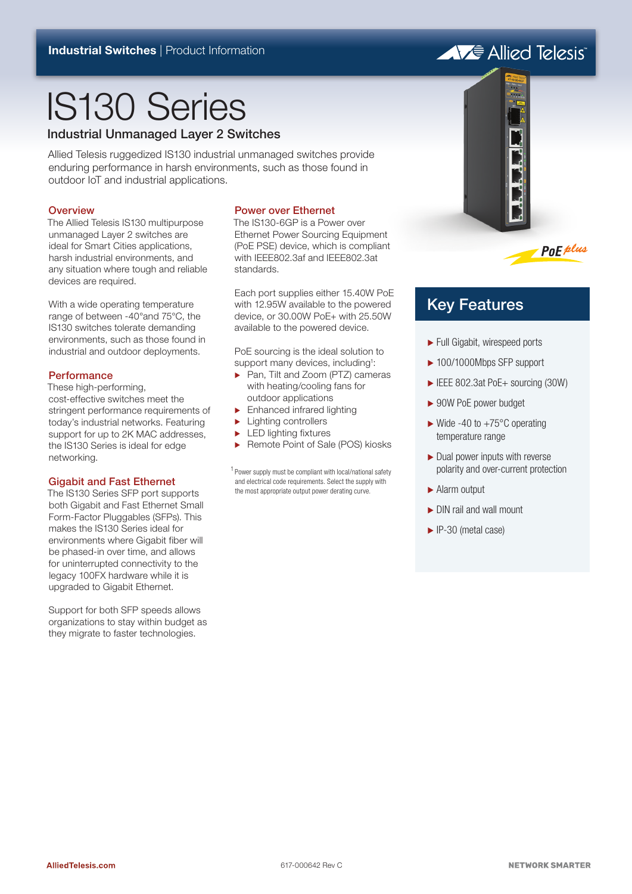# IS130 Series

Industrial Unmanaged Layer 2 Switches

Allied Telesis ruggedized IS130 industrial unmanaged switches provide enduring performance in harsh environments, such as those found in outdoor IoT and industrial applications.

## **Overview**

The Allied Telesis IS130 multipurpose unmanaged Layer 2 switches are ideal for Smart Cities applications, harsh industrial environments, and any situation where tough and reliable devices are required.

With a wide operating temperature range of between -40°and 75°C, the IS130 switches tolerate demanding environments, such as those found in industrial and outdoor deployments.

## **Performance**

These high-performing, cost-effective switches meet the stringent performance requirements of today's industrial networks. Featuring support for up to 2K MAC addresses, the IS130 Series is ideal for edge networking.

## Gigabit and Fast Ethernet

The IS130 Series SFP port supports both Gigabit and Fast Ethernet Small Form-Factor Pluggables (SFPs). This makes the IS130 Series ideal for environments where Gigabit fiber will be phased-in over time, and allows for uninterrupted connectivity to the legacy 100FX hardware while it is upgraded to Gigabit Ethernet.

Support for both SFP speeds allows organizations to stay within budget as they migrate to faster technologies.

## Power over Ethernet

The IS130-6GP is a Power over Ethernet Power Sourcing Equipment (PoE PSE) device, which is compliant with IEEE802.3af and IEEE802.3at standards.

Each port supplies either 15.40W PoE with 12.95W available to the powered device, or 30.00W PoE+ with 25.50W available to the powered device.

PoE sourcing is the ideal solution to support many devices, including<sup>1</sup>:

- ▶ Pan, Tilt and Zoom (PTZ) cameras with heating/cooling fans for outdoor applications
- $\blacktriangleright$  Enhanced infrared lighting
- $\blacktriangleright$  Lighting controllers
- **ED lighting fixtures**
- ▶ Remote Point of Sale (POS) kiosks

<sup>1</sup> Power supply must be compliant with local/national safety and electrical code requirements. Select the supply with the most appropriate output power derating curve.





## Key Features

- ۼ Full Gigabit, wirespeed ports
- ▶ 100/1000Mbps SFP support
- ► IEEE 802.3at PoE+ sourcing (30W)
- ► 90W PoE power budget
- $\blacktriangleright$  Wide -40 to +75 $\degree$ C operating temperature range
- $\blacktriangleright$  Dual power inputs with reverse polarity and over-current protection
- Alarm output
- DIN rail and wall mount
- ► IP-30 (metal case)

A Fe Allied Telesis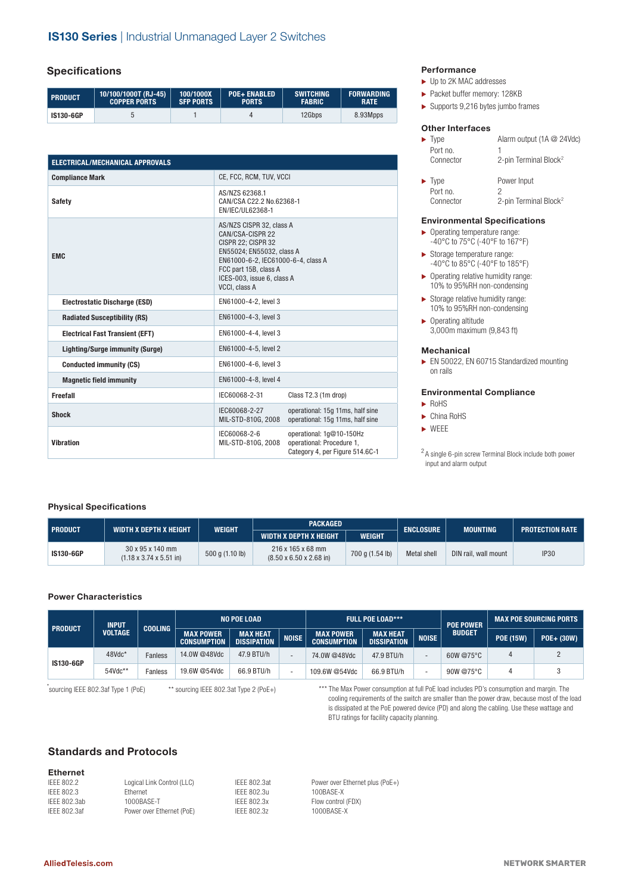## **Specifications**

| <b>PRODUCT</b>   | 10/100/1000T (RJ-45) | 100/1000X        | <b>POE+ ENABLED</b> | <b>SWITCHING</b> | <b>FORWARDING</b> |
|------------------|----------------------|------------------|---------------------|------------------|-------------------|
|                  | <b>COPPER PORTS</b>  | <b>SFP PORTS</b> | <b>PORTS</b>        | <b>FABRIC</b>    | <b>RATE</b>       |
| <b>IS130-6GP</b> |                      |                  |                     | 12Gbps           | 8.93Mpps          |

| <b>ELECTRICAL/MECHANICAL APPROVALS</b> |                                                                                                                                                                                                               |                                                                                          |  |  |  |
|----------------------------------------|---------------------------------------------------------------------------------------------------------------------------------------------------------------------------------------------------------------|------------------------------------------------------------------------------------------|--|--|--|
| <b>Compliance Mark</b>                 | CE, FCC, RCM, TUV, VCCI                                                                                                                                                                                       |                                                                                          |  |  |  |
| <b>Safety</b>                          | AS/NZS 62368.1<br>CAN/CSA C22.2 No.62368-1<br>EN/IEC/UL62368-1                                                                                                                                                |                                                                                          |  |  |  |
| <b>EMC</b>                             | AS/NZS CISPR 32, class A<br>CAN/CSA-CISPR 22<br>CISPR 22; CISPR 32<br>EN55024: EN55032, class A<br>EN61000-6-2, IEC61000-6-4, class A<br>FCC part 15B, class A<br>ICES-003, issue 6, class A<br>VCCI, class A |                                                                                          |  |  |  |
| <b>Electrostatic Discharge (ESD)</b>   | EN61000-4-2, level 3                                                                                                                                                                                          |                                                                                          |  |  |  |
| <b>Radiated Susceptibility (RS)</b>    | EN61000-4-3. level 3                                                                                                                                                                                          |                                                                                          |  |  |  |
| <b>Electrical Fast Transient (EFT)</b> | EN61000-4-4. level 3                                                                                                                                                                                          |                                                                                          |  |  |  |
| <b>Lighting/Surge immunity (Surge)</b> | EN61000-4-5, level 2                                                                                                                                                                                          |                                                                                          |  |  |  |
| <b>Conducted immunity (CS)</b>         | EN61000-4-6, level 3                                                                                                                                                                                          |                                                                                          |  |  |  |
| <b>Magnetic field immunity</b>         | EN61000-4-8, level 4                                                                                                                                                                                          |                                                                                          |  |  |  |
| Freefall                               | IEC60068-2-31                                                                                                                                                                                                 | Class T2.3 (1m drop)                                                                     |  |  |  |
| <b>Shock</b>                           | IEC60068-2-27<br>MIL-STD-810G, 2008                                                                                                                                                                           | operational: 15q 11ms, half sine<br>operational: 15q 11ms, half sine                     |  |  |  |
| <b>Vibration</b>                       | IEC60068-2-6<br>MIL-STD-810G, 2008                                                                                                                                                                            | operational: 1g@10-150Hz<br>operational: Procedure 1,<br>Category 4, per Figure 514.6C-1 |  |  |  |

## **Performance**

- ► Up to 2K MAC addresses
- ► Packet buffer memory: 128KB
- $\blacktriangleright$  Supports 9,216 bytes jumbo frames

## **Other Interfaces**

|           | Alarm output (1A @ 24Vdc)         |
|-----------|-----------------------------------|
| Port no.  |                                   |
| Connector | 2-pin Terminal Block <sup>2</sup> |
|           | $\blacktriangleright$ Type        |

| $\blacktriangleright$ Type | Power Input                       |
|----------------------------|-----------------------------------|
| Port no.                   |                                   |
| Connector                  | 2-pin Terminal Block <sup>2</sup> |

## **Environmental Specifications**

- $\blacktriangleright$  Operating temperature range: -40°C to 75°C (-40°F to 167°F)
- $\blacktriangleright$  Storage temperature range: -40°C to 85°C (-40°F to 185°F)
- $\blacktriangleright$  Operating relative humidity range: 10% to 95%RH non-condensing
- $\blacktriangleright$  Storage relative humidity range: 10% to 95%RH non-condensing
- $\blacktriangleright$  Operating altitude 3,000m maximum (9,843 ft)

#### **Mechanical**

► EN 50022, EN 60715 Standardized mounting on rails

#### **Environmental Compliance**

- $\blacktriangleright$  RoHS
	- ► China RoHS
	- $\blacktriangleright$  WEEE

<sup>2</sup> A single 6-pin screw Terminal Block include both power input and alarm output

## **Physical Specifications**

|                  | WIDTH X DEPTH X HEIGHT                                  |                 | <b>PACKAGED</b>                                          | <b>ENCLOSURE</b> | <b>MOUNTING</b> |                      |                        |  |
|------------------|---------------------------------------------------------|-----------------|----------------------------------------------------------|------------------|-----------------|----------------------|------------------------|--|
| <b>PRODUCT</b>   |                                                         | WEIGHT          | WIDTH X DEPTH X HEIGHT                                   | <b>WEIGHT</b>    |                 |                      | <b>PROTECTION RATE</b> |  |
| <b>IS130-6GP</b> | 30 x 95 x 140 mm<br>$(1.18 \times 3.74 \times 5.51)$ in | 500 g (1.10 lb) | 216 x 165 x 68 mm<br>$(8.50 \times 6.50 \times 2.68)$ in | 700 g (1.54 lb)  | Metal shell     | DIN rail, wall mount | <b>IP30</b>            |  |

## **Power Characteristics**

| <b>PRODUCT</b>   | <b>INPUT</b>   |                | <b>NO POE LOAD</b>                     |                                       | <b>FULL POE LOAD***</b>  |                                 |                                       | <b>POE POWER</b>         | <b>MAX POE SOURCING PORTS</b> |                  |            |
|------------------|----------------|----------------|----------------------------------------|---------------------------------------|--------------------------|---------------------------------|---------------------------------------|--------------------------|-------------------------------|------------------|------------|
|                  | <b>VOLTAGE</b> | <b>COOLING</b> | <b>MAX POWER</b><br><b>CONSUMPTION</b> | <b>MAX HEAT</b><br><b>DISSIPATION</b> | <b>NOISE</b>             | MAX POWER<br><b>CONSUMPTION</b> | <b>MAX HEAT</b><br><b>DISSIPATION</b> | <b>NOISE</b>             | <b>BUDGET</b>                 | <b>POE (15W)</b> | POE+ (30W) |
| <b>IS130-6GP</b> | 48Vdc*         | Fanless        | 14.0W @48Vdc                           | 47.9 BTU/h                            | $\overline{\phantom{0}}$ | 74.0W @48Vdc                    | 47.9 BTU/h                            | $\overline{\phantom{0}}$ | 60W @75°C                     |                  |            |
|                  | 54Vdc**        | Fanless        | 19.6W @54Vdc                           | 66.9 BTU/h                            | $\overline{\phantom{0}}$ | 109.6W @54Vdc                   | 66.9 BTU/h                            |                          | 90W @75°C                     |                  |            |

\*sourcing IEEE 802.3af Type 1 (PoE)

\*\* sourcing IEEE 802.3at Type 2 (PoE+)

\*\*\* The Max Power consumption at full PoE load includes PD's consumption and margin. The cooling requirements of the switch are smaller than the power draw, because most of the load is dissipated at the PoE powered device (PD) and along the cabling. Use these wattage and BTU ratings for facility capacity planning.

## **Standards and Protocols**

## **Ethernet**

| IFFF 802.2   | Logical Link Control (LLC) | <b>IFFF 802.3at</b> |
|--------------|----------------------------|---------------------|
| IFFF 802.3   | <b>Fthernet</b>            | IFFF 802.3u         |
| IFFF 802.3ab | 1000BASF-T                 | IFFF 802.3x         |
| IFFF 802.3af | Power over Ethernet (PoE)  | IFFF 802.37         |

Power over Ethernet plus (PoE+) 100BASE-X Flow control (FDX) 1000BASE-X